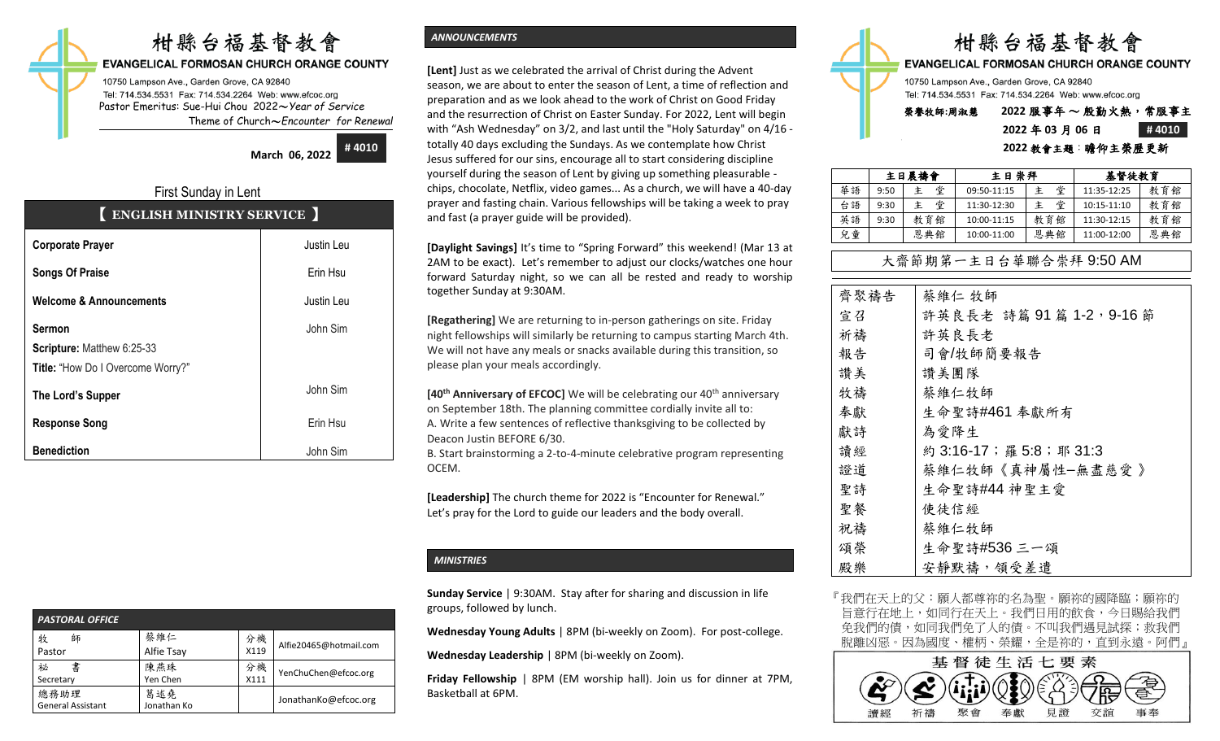# 柑縣台福基督教會

### **EVANGELICAL FORMOSAN CHURCH ORANGE COUNTY**

10750 Lampson Ave., Garden Grove, CA 92840 Tel: 714.534.5531 Fax: 714.534.2264 Web: www.efcoc.org Pastor Emeritus: Sue-Hui Chou 2022〜*Year of Service* Theme of Church〜*Encounter for Renewal*

**March 06, 2022**

**# 4010**

# First Sunday in Lent 【 **ENGLISH MINISTRY SERVICE** 】

| <b>Corporate Prayer</b>            | Justin Leu |
|------------------------------------|------------|
| <b>Songs Of Praise</b>             | Erin Hsu   |
| <b>Welcome &amp; Announcements</b> | Justin Leu |
| <b>Sermon</b>                      | John Sim   |
| Scripture: Matthew 6:25-33         |            |
| Title: "How Do I Overcome Worry?"  |            |
| The Lord's Supper                  | John Sim   |
| <b>Response Song</b>               | Erin Hsu   |
| <b>Benediction</b>                 | John Sim   |

| <b>PASTORAL OFFICE</b>           |                    |            |                        |  |  |  |  |  |
|----------------------------------|--------------------|------------|------------------------|--|--|--|--|--|
| 牧<br>師<br>Pastor                 | 蔡維仁<br>Alfie Tsay  | 分機<br>X119 | Alfie20465@hotmail.com |  |  |  |  |  |
| 書<br>祕<br>Secretary              | 陳燕珠<br>Yen Chen    | 分機<br>X111 | YenChuChen@efcoc.org   |  |  |  |  |  |
| 總務助理<br><b>General Assistant</b> | 葛述堯<br>Jonathan Ko |            | JonathanKo@efcoc.org   |  |  |  |  |  |

# *ANNOUNCEMENTS*

**[Lent]** Just as we celebrated the arrival of Christ during the Advent season, we are about to enter the season of Lent, a time of reflection and preparation and as we look ahead to the work of Christ on Good Friday and the resurrection of Christ on Easter Sunday. For 2022, Lent will begin with "Ash Wednesday" on 3/2, and last until the "Holy Saturday" on 4/16 totally 40 days excluding the Sundays. As we contemplate how Christ Jesus suffered for our sins, encourage all to start considering discipline yourself during the season of Lent by giving up something pleasurable chips, chocolate, Netflix, video games... As a church, we will have a 40-day prayer and fasting chain. Various fellowships will be taking a week to pray and fast (a prayer guide will be provided).

**[Daylight Savings]** It's time to "Spring Forward" this weekend! (Mar 13 at 2AM to be exact). Let's remember to adjust our clocks/watches one hour forward Saturday night, so we can all be rested and ready to worship together Sunday at 9:30AM.

**[Regathering]** We are returning to in-person gatherings on site. Friday night fellowships will similarly be returning to campus starting March 4th. We will not have any meals or snacks available during this transition, so please plan your meals accordingly.

**[40<sup>th</sup> Anniversary of EFCOC]** We will be celebrating our 40<sup>th</sup> anniversary on September 18th. The planning committee cordially invite all to: A. Write a few sentences of reflective thanksgiving to be collected by Deacon Justin BEFORE 6/30.

B. Start brainstorming a 2-to-4-minute celebrative program representing OCEM.

**[Leadership]** The church theme for 2022 is "Encounter for Renewal." Let's pray for the Lord to guide our leaders and the body overall.

#### *MINISTRIES*

**Sunday Service** | 9:30AM. Stay after for sharing and discussion in life groups, followed by lunch.

**Wednesday Young Adults** | 8PM (bi-weekly on Zoom). For post-college.

**Wednesday Leadership** | 8PM (bi-weekly on Zoom).

**Friday Fellowship** | 8PM (EM worship hall). Join us for dinner at 7PM, Basketball at 6PM.



# 榮譽牧師**:**周淑慧 **2022** 服事年 〜 殷勤火熱,常服事主 **2022** 年 **03** 月 **06** 日 **# 4010 2022** 教會主題:瞻仰主榮歷更新

|    |      | 主日晨禱會 | 主日崇拜        |        | 基督徒教育       |     |  |
|----|------|-------|-------------|--------|-------------|-----|--|
| 華語 | 9:50 | 堂     | 09:50-11:15 | 堂<br>主 | 11:35-12:25 | 教育館 |  |
| 台語 | 9:30 | 堂     | 11:30-12:30 | 堂<br>主 | 10:15-11:10 | 教育館 |  |
| 英語 | 9:30 | 教育館   | 10:00-11:15 | 教育館    | 11:30-12:15 | 教育館 |  |
| 兒童 |      | 恩典館   | 10:00-11:00 | 恩典館    | 11:00-12:00 | 恩典館 |  |

# 大齋節期第一主日台華聯合崇拜 9:50 AM

| 齊聚禱告 | 蔡維仁 牧師                   |
|------|--------------------------|
| 宣召   | 許英良長老 詩篇 91篇 1-2, 9-16節  |
| 祈禱   | 許英良長老                    |
| 報告   | 司會/牧師簡要報告                |
| 讚美   | 讚美團隊                     |
| 牧禱   | 蔡維仁牧師                    |
| 奉獻   | 生命聖詩#461 奉獻所有            |
| 獻詩   | 為愛降生                     |
| 讀經   | 約 3:16-17; 羅 5:8; 耶 31:3 |
| 證道   | 蔡維仁牧師《真神屬性-無盡慈愛》         |
| 聖詩   | 生命聖詩#44 神聖主愛             |
| 聖餐   | 使徒信經                     |
| 祝禱   | 蔡維仁牧師                    |
| 頌榮   | 生命聖詩#536 三一頌             |
| 殿樂   | 安靜默禱, 領受差遣               |

『我們在天上的父:願人都尊祢的名為聖。願祢的國降臨;願祢的 旨意行在地上,如同行在天上。我們日用的飲食,今日賜給我們 免我們的債,如同我們免了人的債。不叫我們遇見試探;救我們 脫離凶惡。因為國度、權柄、榮耀,全是祢的,直到永遠。阿們